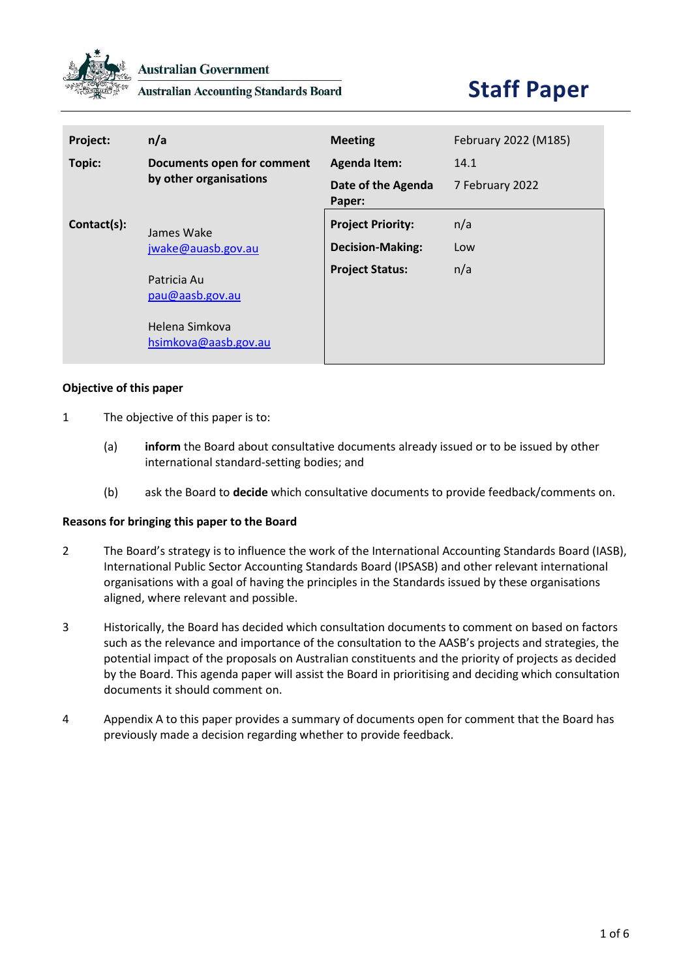

**Australian Accounting Standards Board** 

# **Staff Paper**

| Project:    | n/a                                                                      | <b>Meeting</b>               | February 2022 (M185) |
|-------------|--------------------------------------------------------------------------|------------------------------|----------------------|
| Topic:      | Documents open for comment                                               | <b>Agenda Item:</b>          | 14.1                 |
|             | by other organisations                                                   | Date of the Agenda<br>Paper: | 7 February 2022      |
| Contact(s): | James Wake                                                               | <b>Project Priority:</b>     | n/a                  |
|             | jwake@auasb.gov.au                                                       | <b>Decision-Making:</b>      | Low                  |
|             | Patricia Au<br>pau@aasb.gov.au<br>Helena Simkova<br>hsimkova@aasb.gov.au | <b>Project Status:</b>       | n/a                  |

#### **Objective of this paper**

- 1 The objective of this paper is to:
	- (a) **inform** the Board about consultative documents already issued or to be issued by other international standard-setting bodies; and
	- (b) ask the Board to **decide** which consultative documents to provide feedback/comments on.

#### **Reasons for bringing this paper to the Board**

- 2 The Board's strategy is to influence the work of the International Accounting Standards Board (IASB), International Public Sector Accounting Standards Board (IPSASB) and other relevant international organisations with a goal of having the principles in the Standards issued by these organisations aligned, where relevant and possible.
- 3 Historically, the Board has decided which consultation documents to comment on based on factors such as the relevance and importance of the consultation to the AASB's projects and strategies, the potential impact of the proposals on Australian constituents and the priority of projects as decided by the Board. This agenda paper will assist the Board in prioritising and deciding which consultation documents it should comment on.
- 4 Appendix A to this paper provides a summary of documents open for comment that the Board has previously made a decision regarding whether to provide feedback.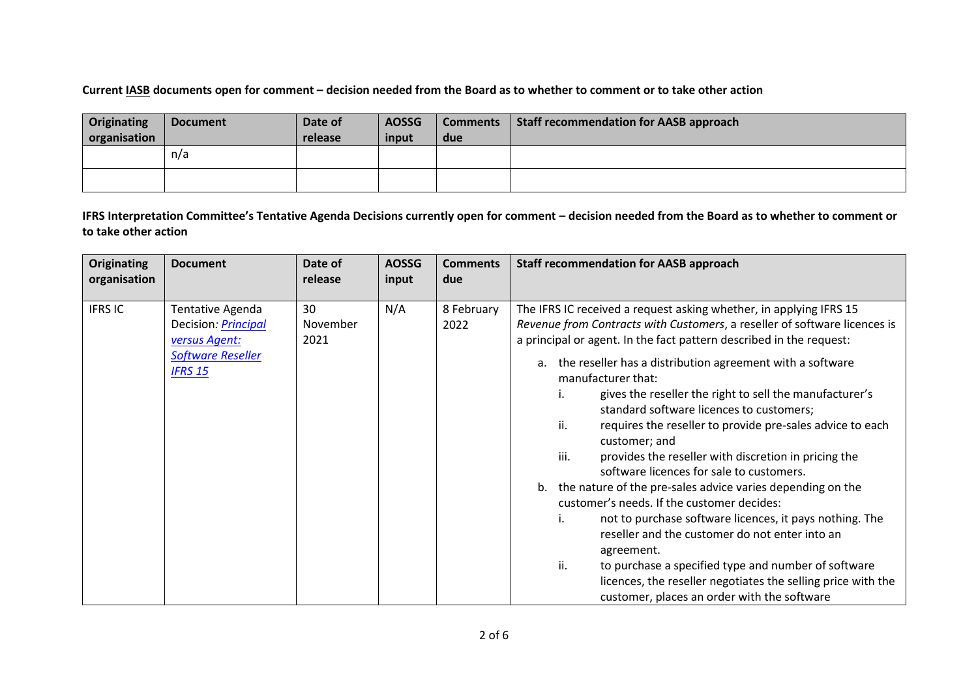### **Current IASB documents open for comment – decision needed from the Board as to whether to comment or to take other action**

| Originating<br>organisation | <b>Document</b> | Date of<br>release | <b>AOSSG</b><br>input | <b>Comments</b><br>due | <b>Staff recommendation for AASB approach</b> |
|-----------------------------|-----------------|--------------------|-----------------------|------------------------|-----------------------------------------------|
|                             | n/a             |                    |                       |                        |                                               |
|                             |                 |                    |                       |                        |                                               |

**IFRS Interpretation Committee's Tentative Agenda Decisions currently open for comment – decision needed from the Board as to whether to comment or to take other action**

| <b>Originating</b> | <b>Document</b>                                                                                               | Date of                | <b>AOSSG</b> | <b>Comments</b>    | <b>Staff recommendation for AASB approach</b>                                                                                                                                                                                                                                                                                                                                                                                                                                                                                                                                                                                                                                                                                                                                                                                                                                                                                                                                                                                                     |
|--------------------|---------------------------------------------------------------------------------------------------------------|------------------------|--------------|--------------------|---------------------------------------------------------------------------------------------------------------------------------------------------------------------------------------------------------------------------------------------------------------------------------------------------------------------------------------------------------------------------------------------------------------------------------------------------------------------------------------------------------------------------------------------------------------------------------------------------------------------------------------------------------------------------------------------------------------------------------------------------------------------------------------------------------------------------------------------------------------------------------------------------------------------------------------------------------------------------------------------------------------------------------------------------|
| organisation       |                                                                                                               | release                | input        | due                |                                                                                                                                                                                                                                                                                                                                                                                                                                                                                                                                                                                                                                                                                                                                                                                                                                                                                                                                                                                                                                                   |
| <b>IFRS IC</b>     | Tentative Agenda<br>Decision: <i>Principal</i><br>versus Agent:<br><b>Software Reseller</b><br><b>IFRS 15</b> | 30<br>November<br>2021 | N/A          | 8 February<br>2022 | The IFRS IC received a request asking whether, in applying IFRS 15<br>Revenue from Contracts with Customers, a reseller of software licences is<br>a principal or agent. In the fact pattern described in the request:<br>a. the reseller has a distribution agreement with a software<br>manufacturer that:<br>gives the reseller the right to sell the manufacturer's<br>standard software licences to customers;<br>ii.<br>requires the reseller to provide pre-sales advice to each<br>customer; and<br>iii.<br>provides the reseller with discretion in pricing the<br>software licences for sale to customers.<br>b. the nature of the pre-sales advice varies depending on the<br>customer's needs. If the customer decides:<br>not to purchase software licences, it pays nothing. The<br>i.<br>reseller and the customer do not enter into an<br>agreement.<br>ii.<br>to purchase a specified type and number of software<br>licences, the reseller negotiates the selling price with the<br>customer, places an order with the software |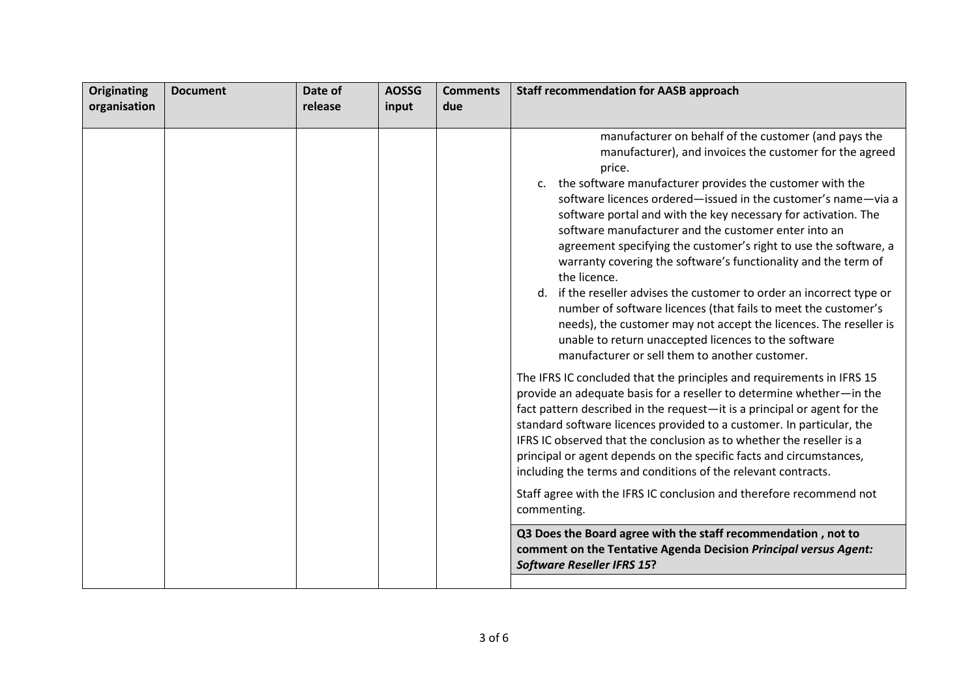| organisation |         |       |     | <b>Staff recommendation for AASB approach</b>                                                                                                                                                                                                                                                                                                                                                                                                                                                                                                                                                                                                                                                                                                                                                                                                                                                                                                                                                                                                                                                                                                                             |
|--------------|---------|-------|-----|---------------------------------------------------------------------------------------------------------------------------------------------------------------------------------------------------------------------------------------------------------------------------------------------------------------------------------------------------------------------------------------------------------------------------------------------------------------------------------------------------------------------------------------------------------------------------------------------------------------------------------------------------------------------------------------------------------------------------------------------------------------------------------------------------------------------------------------------------------------------------------------------------------------------------------------------------------------------------------------------------------------------------------------------------------------------------------------------------------------------------------------------------------------------------|
|              | release | input | due |                                                                                                                                                                                                                                                                                                                                                                                                                                                                                                                                                                                                                                                                                                                                                                                                                                                                                                                                                                                                                                                                                                                                                                           |
|              |         |       |     | manufacturer on behalf of the customer (and pays the<br>manufacturer), and invoices the customer for the agreed<br>price.<br>c. the software manufacturer provides the customer with the<br>software licences ordered-issued in the customer's name-via a<br>software portal and with the key necessary for activation. The<br>software manufacturer and the customer enter into an<br>agreement specifying the customer's right to use the software, a<br>warranty covering the software's functionality and the term of<br>the licence.<br>d. if the reseller advises the customer to order an incorrect type or<br>number of software licences (that fails to meet the customer's<br>needs), the customer may not accept the licences. The reseller is<br>unable to return unaccepted licences to the software<br>manufacturer or sell them to another customer.<br>The IFRS IC concluded that the principles and requirements in IFRS 15<br>provide an adequate basis for a reseller to determine whether-in the<br>fact pattern described in the request-it is a principal or agent for the<br>standard software licences provided to a customer. In particular, the |
|              |         |       |     | IFRS IC observed that the conclusion as to whether the reseller is a<br>principal or agent depends on the specific facts and circumstances,<br>including the terms and conditions of the relevant contracts.                                                                                                                                                                                                                                                                                                                                                                                                                                                                                                                                                                                                                                                                                                                                                                                                                                                                                                                                                              |
|              |         |       |     | Staff agree with the IFRS IC conclusion and therefore recommend not<br>commenting.                                                                                                                                                                                                                                                                                                                                                                                                                                                                                                                                                                                                                                                                                                                                                                                                                                                                                                                                                                                                                                                                                        |
|              |         |       |     | Q3 Does the Board agree with the staff recommendation, not to<br>comment on the Tentative Agenda Decision Principal versus Agent:<br><b>Software Reseller IFRS 15?</b>                                                                                                                                                                                                                                                                                                                                                                                                                                                                                                                                                                                                                                                                                                                                                                                                                                                                                                                                                                                                    |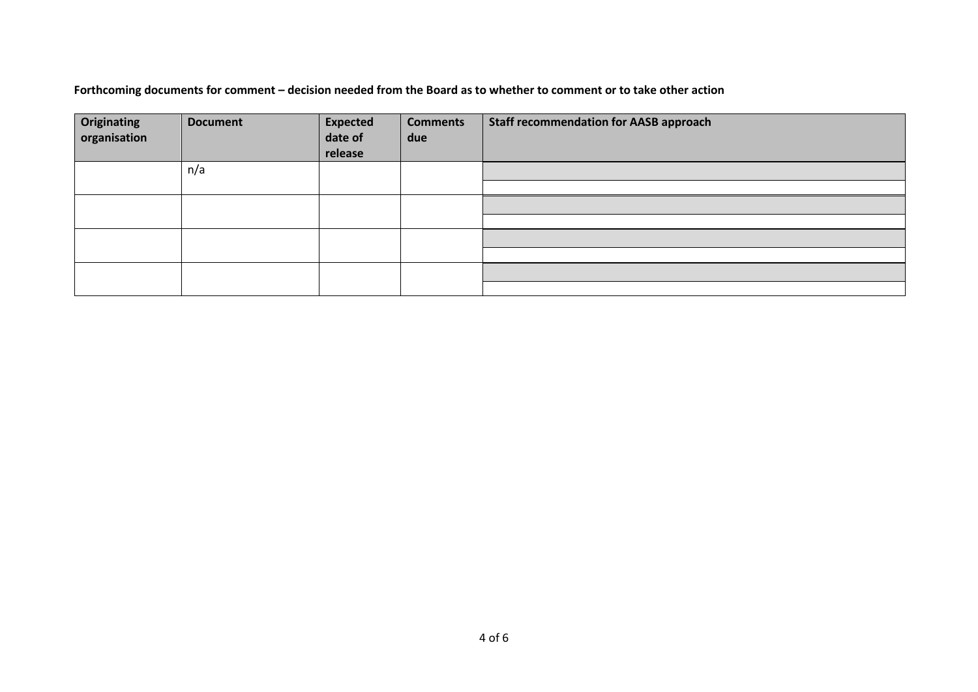## **Forthcoming documents for comment – decision needed from the Board as to whether to comment or to take other action**

| <b>Originating</b><br>organisation | <b>Document</b> | <b>Expected</b><br>date of<br>release | <b>Comments</b><br>due | <b>Staff recommendation for AASB approach</b> |
|------------------------------------|-----------------|---------------------------------------|------------------------|-----------------------------------------------|
|                                    | n/a             |                                       |                        |                                               |
|                                    |                 |                                       |                        |                                               |
|                                    |                 |                                       |                        |                                               |
|                                    |                 |                                       |                        |                                               |
|                                    |                 |                                       |                        |                                               |
|                                    |                 |                                       |                        |                                               |
|                                    |                 |                                       |                        |                                               |
|                                    |                 |                                       |                        |                                               |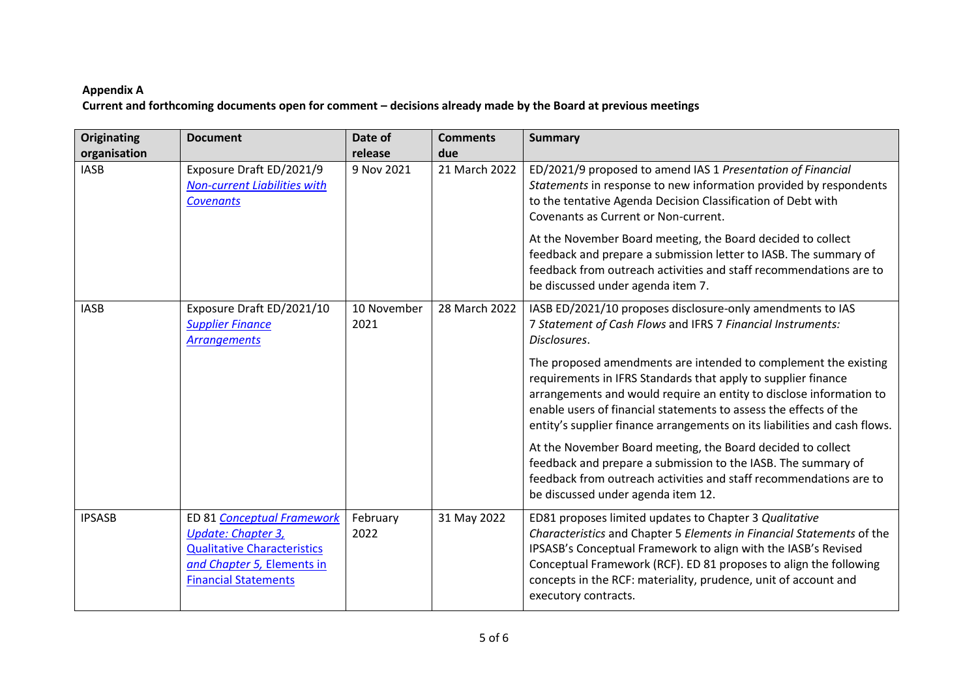## **Appendix A Current and forthcoming documents open for comment – decisions already made by the Board at previous meetings**

| <b>Originating</b><br>organisation | <b>Document</b>                                                                                                                                     | Date of<br>release  | <b>Comments</b><br>due | <b>Summary</b>                                                                                                                                                                                                                                                                                                                                                              |
|------------------------------------|-----------------------------------------------------------------------------------------------------------------------------------------------------|---------------------|------------------------|-----------------------------------------------------------------------------------------------------------------------------------------------------------------------------------------------------------------------------------------------------------------------------------------------------------------------------------------------------------------------------|
| <b>IASB</b>                        | Exposure Draft ED/2021/9<br><b>Non-current Liabilities with</b><br><b>Covenants</b>                                                                 | 9 Nov 2021          | 21 March 2022          | ED/2021/9 proposed to amend IAS 1 Presentation of Financial<br>Statements in response to new information provided by respondents<br>to the tentative Agenda Decision Classification of Debt with<br>Covenants as Current or Non-current.<br>At the November Board meeting, the Board decided to collect<br>feedback and prepare a submission letter to IASB. The summary of |
|                                    |                                                                                                                                                     |                     |                        | feedback from outreach activities and staff recommendations are to<br>be discussed under agenda item 7.                                                                                                                                                                                                                                                                     |
| <b>IASB</b>                        | Exposure Draft ED/2021/10<br><b>Supplier Finance</b><br><b>Arrangements</b>                                                                         | 10 November<br>2021 | 28 March 2022          | IASB ED/2021/10 proposes disclosure-only amendments to IAS<br>7 Statement of Cash Flows and IFRS 7 Financial Instruments:<br>Disclosures.                                                                                                                                                                                                                                   |
|                                    |                                                                                                                                                     |                     |                        | The proposed amendments are intended to complement the existing<br>requirements in IFRS Standards that apply to supplier finance<br>arrangements and would require an entity to disclose information to<br>enable users of financial statements to assess the effects of the<br>entity's supplier finance arrangements on its liabilities and cash flows.                   |
|                                    |                                                                                                                                                     |                     |                        | At the November Board meeting, the Board decided to collect<br>feedback and prepare a submission to the IASB. The summary of<br>feedback from outreach activities and staff recommendations are to<br>be discussed under agenda item 12.                                                                                                                                    |
| <b>IPSASB</b>                      | ED 81 Conceptual Framework<br>Update: Chapter 3,<br><b>Qualitative Characteristics</b><br>and Chapter 5, Elements in<br><b>Financial Statements</b> | February<br>2022    | 31 May 2022            | ED81 proposes limited updates to Chapter 3 Qualitative<br>Characteristics and Chapter 5 Elements in Financial Statements of the<br>IPSASB's Conceptual Framework to align with the IASB's Revised<br>Conceptual Framework (RCF). ED 81 proposes to align the following<br>concepts in the RCF: materiality, prudence, unit of account and<br>executory contracts.           |